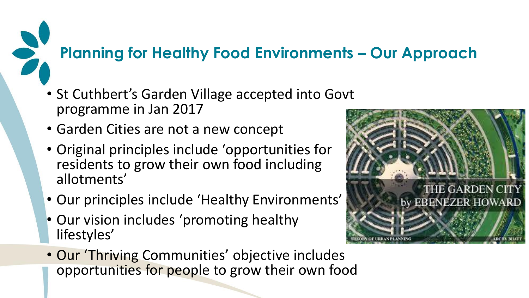#### **Planning for Healthy Food Environments – Our Approach**

- St Cuthbert's Garden Village accepted into Govt programme in Jan 2017
- Garden Cities are not a new concept
- Original principles include 'opportunities for residents to grow their own food including allotments'
- Our principles include 'Healthy Environments'
- Our vision includes 'promoting healthy lifestyles'
- Our 'Thriving Communities' objective includes opportunities for people to grow their own food

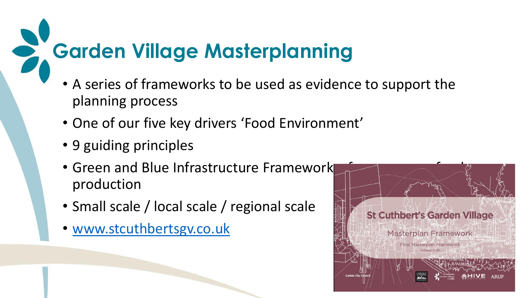# **Garden Village Masterplanning**

- A series of frameworks to be used as evidence to support the planning process
- One of our five key drivers 'Food Environment'
- 9 guiding principles
- Green and Blue Infrastructure Framework production
- Small scale / local scale / regional scale
- [www.stcuthbertsgv.co.uk](http://www.stcuthbertsgv.co.uk/)

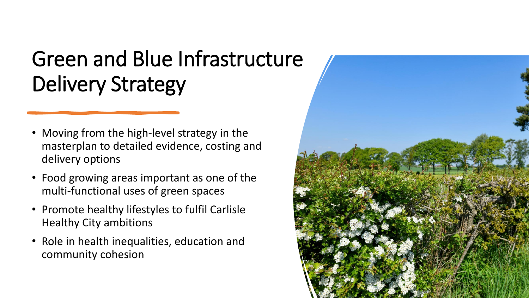## Green and Blue Infrastructure Delivery Strategy

- Moving from the high-level strategy in the masterplan to detailed evidence, costing and delivery options
- Food growing areas important as one of the multi-functional uses of green spaces
- Promote healthy lifestyles to fulfil Carlisle Healthy City ambitions
- Role in health inequalities, education and community cohesion

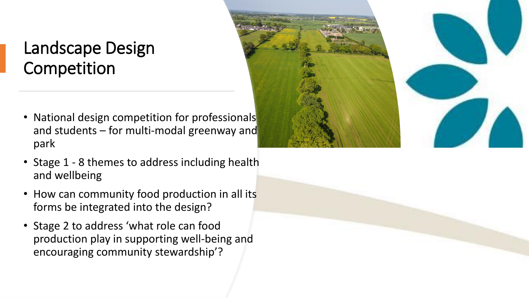### Landscape Design Competition

- National design competition for professionals and students – for multi-modal greenway and park
- Stage 1 8 themes to address including health and wellbeing
- How can community food production in all its forms be integrated into the design?
- Stage 2 to address 'what role can food production play in supporting well-being and encouraging community stewardship'?